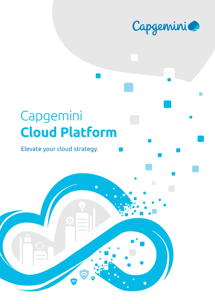

# Capgemini **Cloud Platform**

 $\hat{\Omega}$ 

 $\blacksquare$ 

### Elevate your cloud strategy.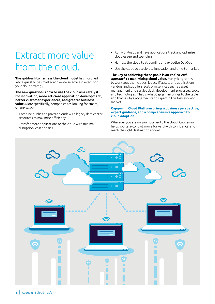## Extract more value from the cloud.

**The goldrush to harness the cloud model** has morphed into a quest to be smarter and more selective in executing your cloud strategy.

**The new question is how to use the cloud as a catalyst for innovation, more efficient application development, better customer experiences, and greater business value.** More specifically, companies are looking for smart, secure ways to:

- Combine public and private clouds with legacy data center resources to maximize efficiency
- Transfer more applications to the cloud with minimal disruption, cost and risk
- Run workloads and have applications track and optimize cloud usage and spending
- Harness the cloud to streamline and expedite DevOps
- Use the cloud to accelerate innovation and time-to-market

**The key to achieving these goals is an** *end-to-end approach* **to maximizing cloud value.** Everything needs to work together: clouds; legacy IT assets and applications; vendors and suppliers; platform services such as asset management and service desk; development processes; tools and technologies. That is what Capgemini brings to the table, and that is why Capgemini stands apart in this fast-evolving market.

#### **Capgemini Cloud Platform brings a business perspective, expert guidance, and a comprehensive approach to cloud adoption.**

Wherever you are on your journey to the cloud, Capgemini helps you take control, move forward with confidence, and reach the right destination sooner.

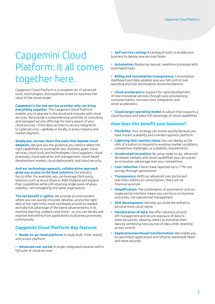## Capgemini Cloud Platform: It all comes together here.

Capgemini Cloud Platform is a complete set of advanced tools, technologies, and expertise tuned to maximize the value of the cloud model.

**Capgemini is the one service provider who can bring** 

**everything together.** The Capgemini Cloud Platform enables you to operate in the cloud and innovate with cloud services. We provide a comprehensive portfolio of consulting and managed service offerings for every aspect of your cloud journey—from data services to service integration to cybersecurity—globally or locally, in every industry and market segment.

**Simply put, we tear down the walls that impede cloud** 

**adoption.** We give you the guidance you need to select the right capabilities to accomplish your business goals: cloud services, cloud tools and technologies, cloud suppliers, cloud processes, cloud operation and management, cloud-based development models, cloud deployment, and cloud security.

**And our technology-agnostic, collaborative approach gives you access to the best solutions** the industry has to offer. For example, you can leverage third-party solutions such as Azure Stack or AWS Outpost and expand their capabilities while still retaining single-pane-of-glass visibility—all managed by the same organization.

**The net benefit is agility.** We provide an environment where you can quickly innovate, develop, access the right data at the right time, move workloads around as needed, and take full advantage of the latest advancements in AI, machine learning, analytics and more—so you can iterate and improve everything from applications to business processes, continuously.

#### **Capgemini Cloud Platform: Key features**

**• Ready-to-go cloud platform:** A ready-built, tried, tested, and proven platform

**• Advanced user portal:** A single, integrated solution with a full suite of cloud services

**• Self-service catalog:** A catalog of tools to enable your business to deploy new services faster

**• Automation:** Replacing manual, repetitive processes with automated tasks

**• Billing and consumption transparency:** Consumption dashboard and daily updates give you full control over spending and cost optimization recommendations

**• Cloud accelerators:** Support for rapid development of new innovative services through auto-provisioning, containerization, microservices, integration and other accelerators

**• Cloud target operating model:** A culture that supports a cloud business and takes full advantage of cloud capabilities

#### **How does this benefit your business?**

- **• Flexibility:** Your strategy can evolve quickly because you have instant scalability and a vendor-agnostic platform
- **• Lightning-fast reaction times:** You can deploy at the click of a button to respond to evolving market conditions, competitive challenges, or scalability requirements
- **• Accelerated innovation:** By using ready-to-go, advanced developer toolsets and cloud capabilities you can sustain an innovation advantage over your competitors
- **• Cost reduction:** Clients have reported up to 77% cost savings through optimization
- **• Transparency:** With our advanced user portal and real-time visibility on consumption, there are no financial surprises
- **• Simplification:** The combination of automation and our single portal interface means you can focus on business outcomes, not operational management
- **• Skill development:** We help you build the skillset to become more cloud native
- **• Monetization of data:** We offer solutions around API management and secure exposure of data to external parties, allowing clients to monetize their data by combining new sources of data while retaining access control.
- **• Application/workload transformation:** We enable you to rearchitect applications and refactor workloads faster and more securely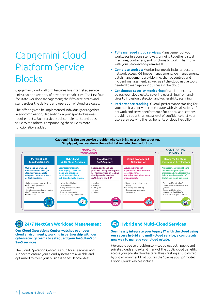## Capgemini Cloud Platform Service Blocks

Capgemini Cloud Platform features five integrated service units that add a variety of advanced capabilities. The first four facilitate workload management; the fifth accelerates and standardizes the delivery and operation of cloud use cases.

The offerings can be implemented individually or together, in any combination, depending on your specific business requirements. Each service block complements and adds value to the others, compounding the value as more functionality is added.

- **• Fully managed cloud services:** Management of your workloads in a consistent way, bringing together virtual machines, containers, and functions to work in harmony with your SaaS and on-premises IT.
- **• Complete toolset:** Monitoring, metric insights, secure network access, OS image management, log management, patch management provisioning, change control, and incident management, as well as all the cloud native tools needed to manage your business in the cloud.
- **• Continuous security monitoring:** Real-time security across your cloud estate covering everything from antivirus to intrusion detection and vulnerability scanning.
- **• Performance tracking:** Overall performance tracking for your public and private cloud estate with visualizations of network and server performance for critical applications, providing you with an extra level of confidence that your users are receiving the full benefits of cloud flexibility.



### **24/7 NextGen Workload Management**

**Our Cloud Operations Center watches over your cloud environments, working in partnership with our cybersecurity teams to safeguard your IaaS, PaaS or SaaS services.**

The Cloud Operation Center is a hub for all services and support to ensure your cloud systems are available and optimized to meet your business needs. It provides:

### **Hybrid and Multi-Cloud Services**

#### **Seamlessly integrate your legacy IT with the cloud using our secure hybrid and multi-cloud service, a completely new way to manage your cloud estate.**

We enable you to provision services across both public and private clouds and extend many of the public cloud benefits across your private cloud estate, thus creating a customized hybrid environment that utilizes the "pay as you go" model. Hybrid Cloud Services include: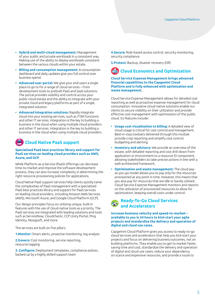- **• Hybrid and multi-cloud management:** Management of your public and private workloads in a consistent way. Making use of the ability to deploy workloads consistent between the various clouds within your estate.
- **• Billing and consumption management:** A consumption dashboard and daily updates give you full control over business spend.
- **• Advanced user portal:** We give your end users a single place to go to for a range of cloud services – from development tools to prebuilt PaaS and SaaS solutions. The portal provides visibility and control across your public cloud estate and the ability to integrate with your private cloud and legacy platforms as part of a single, integrated solution.
- **• Advanced integration solutions:** Rapidly integrate cloud into your existing services, such as ITSM functions and other IT services. Integration is the key to building a business in the cloud when using multiple cloud providers. and other IT services. Integration is the key to building a business in the cloud when using multiple cloud providers.

## **Cloud Native PaaS support**

#### **Specialized PaaS best practices library and support for PaaS services on leading cloud providers such as AWS, Azure, and GCP**

While Platform-as-a-Service (PaaS) offerings can decrease time-to-market and improve the software development process, they can also increase complexity in determining the right resource provisioning policies for applications.

Cloud Native PaaS support services help clients quickly tame the complexities of PaaS management with a specialized PaaS best practices library and support for PaaS services on leading cloud providers, including Amazon Web Services (AWS), Microsoft Azure, and Google Cloud Platform (GCP).

Our design principles focus on utilizing unique, built-in features with the use of cloud-native tools as a priority. The PaaS services are integrated with leading solutions and tools such as ServiceNow, Cloudcheckr, CCP Unity Portal, Ping Identity, Moogsoft, and more

The services are built on five pillars:

**1.Monitor:** Smart alerts, proactive monitoring, log analysis

**2.Govern:** Cost monitoring, service reporting, resource tagging

**3. Configure:** Deployment templates, compliance polices, backed up by a highly skilled support team

**4.Secure:** Role-based access control, security monitoring, security compliance

**5.Protect:** Backup, disaster recovery (DR)

### **Cloud Economics and Optimization**

**Cloud Service Expense Management brings advanced financial capabilities to the Capgemini Cloud Platform and is fully enhanced with optimization and waste management.**

Cloud Service Expense Management allows for detailed cost reporting as well as proactive expense management for cloud consumption. Innovative cloud-native solutions enable our clients to secure visibility on their utilization and provide effective cost management with optimization of the public cloud. Its features include:

- **• Usage cost visualization to billing:** A detailed view of cloud usage is critical for cost control and management. Best-in-class toolsets delivered through this module provide crisp reporting and simplify cost control, budgeting and alerting.
- **• Inventory and advisory:** We provide an overview of the estate, with detailed reporting and cost drill-down from application or environment to a resource ID component, allowing stakeholders to take precise actions in line with a well-architected framework.
- **• Optimization and waste management:** The cloud payas-you-go model allows you to pay only for the resources provisioned at any point in time. However, this means that you also pay for resources that are idle or barely utilized. Cloud Service Expense Management monitors and reports on the utilization of provisioned resources to allow for optimization, keeping overall costs under control.

#### **Ready-To-Go Cloud Services and Accelerators**

#### **Increase business velocity and speed-to-market- available to you in 24 hours to kick-start your agile projects and standardize the delivery and operation of digital and cloud use cases.**

Capgemini Cloud Platform gives you access to ready-to-go cloud services and accelerators that help you kick-start your projects and focus on delivering business outcomes, not on building platforms. They enable you to get to market faster, saving time and cost; standardize the delivery and operation of digital and cloud use cases; reduce your dependency on scarce and expensive resources; and provide a route to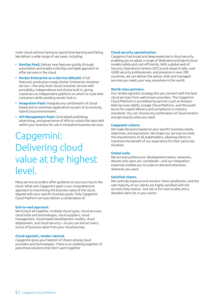multi-cloud without having to spend time learning and failing. We deliver a wide range of use cases, including:

- **• DevOps PaaS:** Deliver new features quickly through automation and enable a DevOps and Agile approach to offer services in the cloud.
- **• Docker Enterprise-as-a-Service (DEaaS):** A fullfeatured, production-ready Docker Enterprise container service—the only multi-cloud container service with portability, independence and choice built in, giving customers an independent platform on which to scale their containers while avoiding vendor lock in.
- **• Integration PaaS:** Integrate any combination of cloudbased and on-premises applications as part of an evolving hybrid cloud environment.
- **• API Management PaaS:** Centralized publishing, advertising, and governance of APIs to unlock the data held within your business for use in innovative business services.

## Capgemini: Delivering cloud value at the highest level.

Many service providers offer guidance on your journey to the cloud. What sets Capgemini apart is our comprehensive approach to maximizing the business value of the cloud, aligned with your specific business goals. Only Capgemini Cloud Platform services deliver a combination of:

#### **End-to-end approach.**

We bring it all together: multiple cloud types, cloud services, cloud tools and technologies, cloud suppliers, cloud management, cloud-based development models, cloud deployment, and cloud security—so you can extract every ounce of business value from your cloud journey.

#### **Cloud-agnostic, vendor-neutral.**

Capgemini gives you freedom of choice among cloud providers and technologies. There is no cobbling together of piecemeal solutions that don't work together.

#### **Cloud security specialization.**

Capgemini has broad and deep expertise in cloud security, enabling you to adopt a range of dedicated and hybrid cloud models safely and cost-efficiently. With a global web of Security Operations Centers (SOCs) and research labs, over 4,000 security professionals, and presence in over 200 countries, we can deliver the advice, skills and managed services you need, your way, anywhere in the world.

#### **World-class partners.**

Our vendor-agnostic strategy lets you connect with the best cloud services from well-known providers. The Capgemini Cloud Platform is accredited by partners such as Amazon Web Services (AWS), Google Cloud Platform, and Microsoft Azure for superb delivery and compliance to industry standards. You can choose any combination of cloud vendors and get exactly what you need.

#### **Capgemini culture.**

We make decisions based on your specific business needs, objectives, and aspirations. We shape our services to meet the requirements of all stakeholders, allowing clients to maximize the benefit of our experience for their particular situation.

#### **Global scale.**

We are everywhere your development teams, networks, devices and users are, worldwide—and our integration expertise enables you to scale on demand whenever, wherever you want.

#### **Satisfied clients.**

We carefully measure and monitor client satisfaction, and the vast majority of our clients are highly satisfied with the services they receive. Just ask us for case studies and a detailed client list in your sector.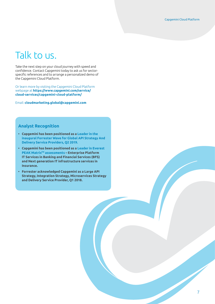## Talk to us.

Take the next step on your cloud journey with speed and confidence. Contact Capgemini today to ask us for sectorspecific references and to arrange a personalized demo of the Capgemini Cloud Platform.

Or learn more by visiting the Capgemini Cloud Platform webpage at **https://www.capgemini.com/service/ cloud-services/capgemini-cloud-platform/**

Email: **cloudmarketing.global@capgemini.com**

#### **Analyst Recognition**

- **• Capgemini has been positioned as a [Leader in the](https://www.capgemini.com/resources/capgemini-a-leader-says-forresters-global-wave-report/)  [inaugural Forrester Wave for Global API Strategy And](https://www.capgemini.com/resources/capgemini-a-leader-says-forresters-global-wave-report/)  [Delivery Service Providers, Q2 2019.](https://www.capgemini.com/resources/capgemini-a-leader-says-forresters-global-wave-report/)**
- **• Capgemini has been positioned as a [Leader in Everest](https://www.capgemini.com/news/leader-in-it-infra-by-everest/)  PEAK Matrix[TM assessments](https://www.capgemini.com/news/leader-in-it-infra-by-everest/) – Enterprise Platform IT Services in Banking and Financial Services (BFS) and Next generation IT infrastructure services in Insurance.**
- **• Forrester acknowledged Capgemini as a Large API Strategy, Integration Strategy, Microservices Strategy and Delivery Service Provider, Q1 2018.**